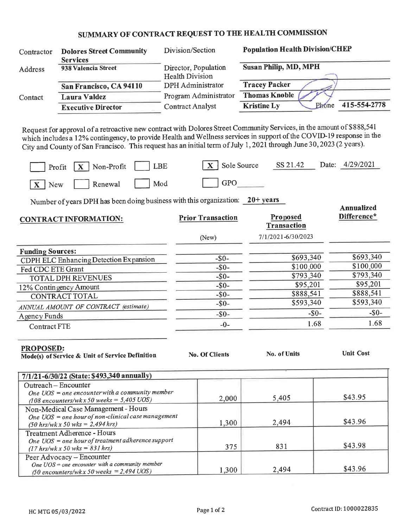## SUMMARY OF CONTRACT REQUEST TO THE HEALTH COMMISSION

| Contractor | <b>Dolores Street Community</b><br><b>Services</b> | Division/Section                               | <b>Population Health Division/CHEP</b>      |
|------------|----------------------------------------------------|------------------------------------------------|---------------------------------------------|
| Address    | 938 Valencia Street                                | Director, Population<br><b>Health Division</b> | <b>Susan Philip, MD, MPH</b>                |
|            | San Francisco, CA 94110                            | DPH Administrator                              | <b>Tracey Packer</b>                        |
| Contact    | <b>Laura Valdez</b>                                | Program Administrator                          | <b>Thomas Knoble</b>                        |
|            | <b>Executive Director</b>                          | <b>Contract Analyst</b>                        | 415-554-2778<br>Phone<br><b>Kristine Ly</b> |

Request for approval of a retroactive new contract with Dolores Street Community Services, in the amount of \$888,541 which includes a 12% contingency, to provide Health and Wellness services in support of the COVID-19 response in the City and County of San Francisco. This request has an initial term of July 1, 2021 through June 30, 2023 (2 years).

| $\boxed{\phantom{1}}$ Profit $\boxed{\mathbf{X}}$ Non-Profit $\boxed{\phantom{1}}$ LBE | $\vert \mathbf{X} \vert$ Sole Source SS 21.42 Date: 4/29/2021 |  |
|----------------------------------------------------------------------------------------|---------------------------------------------------------------|--|
| X New Renewal Mod                                                                      | $\vert$ GPO                                                   |  |

Number of years DPH has been doing business with this organization:  $20+years$ 

| <b>CONTRACT INFORMATION:</b>                  | Proposed<br><b>Prior Transaction</b><br><b>Transaction</b> |                    | Difference* |
|-----------------------------------------------|------------------------------------------------------------|--------------------|-------------|
|                                               | (New)                                                      | 7/1/2021-6/30/2023 |             |
| <b>Funding Sources:</b>                       |                                                            |                    |             |
| <b>CDPH ELC Enhancing Detection Expansion</b> | $-50-$                                                     | \$693,340          | \$693,340   |
| Fed CDC ETE Grant                             | $-S0$                                                      | \$100,000          | \$100,000   |
| TOTAL DPH REVENUES                            | $-50-$                                                     | \$793,340          | \$793,340   |
| 12% Contingency Amount                        | $-50-$                                                     | \$95,201           | \$95,201    |
| <b>CONTRACT TOTAL</b>                         | $-50-$                                                     | \$888,541          | \$888,541   |
| ANNUAL AMOUNT OF CONTRACT (estimate)          | $-50-$                                                     | \$593,340          | \$593,340   |
| Agency Funds                                  | $-50-$                                                     | $-$ \$0-           | $-50-$      |
| <b>Contract FTE</b>                           | $-0-$                                                      | 1.68               | 1.68        |

#### PROPOSED:

Mode(s) of Service & Unit of Service Definition

7/1/21-6/30/22 (State: \$493,340 annually) Outreach - Encounter One  $UOS =$  one encounter with a community member \$43.95 5,405 2,000 (108 encounters/wk x 50 weeks =  $5,405$  UOS) Non-Medical Case Management - Hours One  $UOS =$  one hour of non-clinical case management 2,494 \$43.96 1,300  $(50 \text{ hrs}/\text{wk} \times 50 \text{ wks} = 2,494 \text{ hrs})$ **Treatment Adherence - Hours** One  $UOS =$  one hour of treatment adherence support \$43.98 375 831  $(17 \text{ hrs/wk} \times 50 \text{ wks} = 831 \text{ hrs})$ Peer Advocacy - Encounter One  $UOS =$  one encounter with a community member 1.300 2,494 \$43.96 (50 encounters/wkx 50 weeks =  $2,494$  UOS)

**No. Of Clients** 

**Annualized** 

**Unit Cost** 

No. of Units